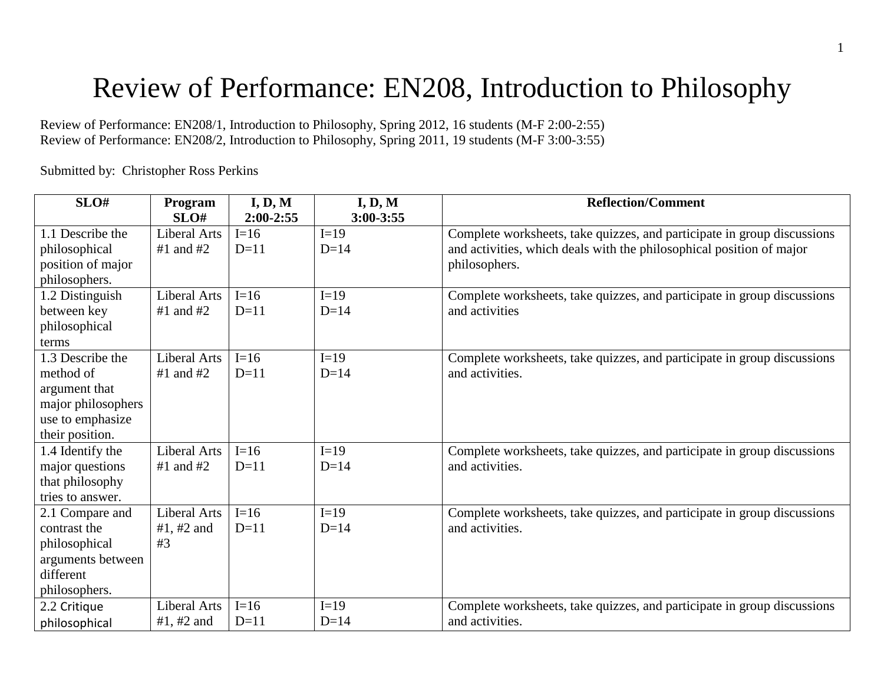# Review of Performance: EN208, Introduction to Philosophy

Review of Performance: EN208/1, Introduction to Philosophy, Spring 2012, 16 students (M-F 2:00-2:55) Review of Performance: EN208/2, Introduction to Philosophy, Spring 2011, 19 students (M-F 3:00-3:55)

Submitted by: Christopher Ross Perkins

| SLO#               | Program             | I, D, M     | I, D, M       | <b>Reflection/Comment</b>                                               |
|--------------------|---------------------|-------------|---------------|-------------------------------------------------------------------------|
|                    | SLO#                | $2:00-2:55$ | $3:00 - 3:55$ |                                                                         |
| 1.1 Describe the   | <b>Liberal Arts</b> | $I=16$      | $I=19$        | Complete worksheets, take quizzes, and participate in group discussions |
| philosophical      | $#1$ and $#2$       | $D=11$      | $D=14$        | and activities, which deals with the philosophical position of major    |
| position of major  |                     |             |               | philosophers.                                                           |
| philosophers.      |                     |             |               |                                                                         |
| 1.2 Distinguish    | <b>Liberal Arts</b> | $I=16$      | $I=19$        | Complete worksheets, take quizzes, and participate in group discussions |
| between key        | $#1$ and $#2$       | $D=11$      | $D=14$        | and activities                                                          |
| philosophical      |                     |             |               |                                                                         |
| terms              |                     |             |               |                                                                         |
| 1.3 Describe the   | <b>Liberal Arts</b> | $I=16$      | $I=19$        | Complete worksheets, take quizzes, and participate in group discussions |
| method of          | $#1$ and $#2$       | $D=11$      | $D=14$        | and activities.                                                         |
| argument that      |                     |             |               |                                                                         |
| major philosophers |                     |             |               |                                                                         |
| use to emphasize   |                     |             |               |                                                                         |
| their position.    |                     |             |               |                                                                         |
| 1.4 Identify the   | Liberal Arts        | $I=16$      | $I=19$        | Complete worksheets, take quizzes, and participate in group discussions |
| major questions    | $#1$ and $#2$       | $D=11$      | $D=14$        | and activities.                                                         |
| that philosophy    |                     |             |               |                                                                         |
| tries to answer.   |                     |             |               |                                                                         |
| 2.1 Compare and    | <b>Liberal Arts</b> | $I=16$      | $I=19$        | Complete worksheets, take quizzes, and participate in group discussions |
| contrast the       | #1, #2 and          | $D=11$      | $D=14$        | and activities.                                                         |
| philosophical      | #3                  |             |               |                                                                         |
| arguments between  |                     |             |               |                                                                         |
| different          |                     |             |               |                                                                         |
| philosophers.      |                     |             |               |                                                                         |
| 2.2 Critique       | <b>Liberal Arts</b> | $I=16$      | $I=19$        | Complete worksheets, take quizzes, and participate in group discussions |
| philosophical      | #1, #2 and          | $D=11$      | $D=14$        | and activities.                                                         |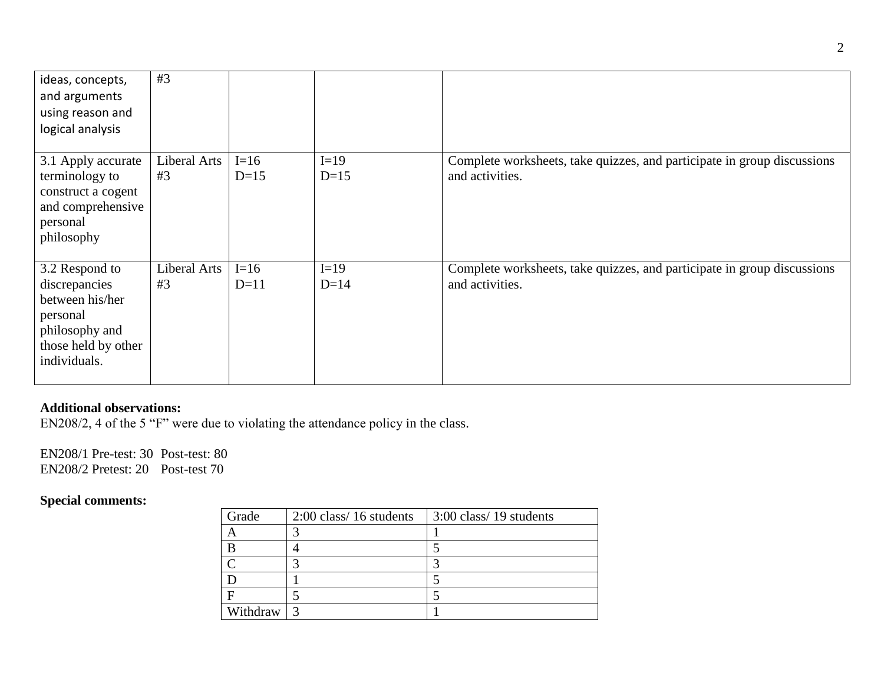| ideas, concepts,<br>and arguments<br>using reason and<br>logical analysis                                               | #3                 |                  |                  |                                                                                            |
|-------------------------------------------------------------------------------------------------------------------------|--------------------|------------------|------------------|--------------------------------------------------------------------------------------------|
| 3.1 Apply accurate<br>terminology to<br>construct a cogent<br>and comprehensive<br>personal<br>philosophy               | Liberal Arts<br>#3 | $I=16$<br>$D=15$ | $I=19$<br>$D=15$ | Complete worksheets, take quizzes, and participate in group discussions<br>and activities. |
| 3.2 Respond to<br>discrepancies<br>between his/her<br>personal<br>philosophy and<br>those held by other<br>individuals. | Liberal Arts<br>#3 | $I=16$<br>$D=11$ | $I=19$<br>$D=14$ | Complete worksheets, take quizzes, and participate in group discussions<br>and activities. |

## **Additional observations:**

EN208/2, 4 of the 5 "F" were due to violating the attendance policy in the class.

EN208/1 Pre-test: 30 Post-test: 80 EN208/2 Pretest: 20 Post-test 70

## **Special comments:**

| Grade    | $2:00$ class/16 students | 3:00 class/19 students |
|----------|--------------------------|------------------------|
|          |                          |                        |
|          |                          |                        |
|          |                          | ◠                      |
|          |                          |                        |
|          |                          |                        |
| Withdraw |                          |                        |